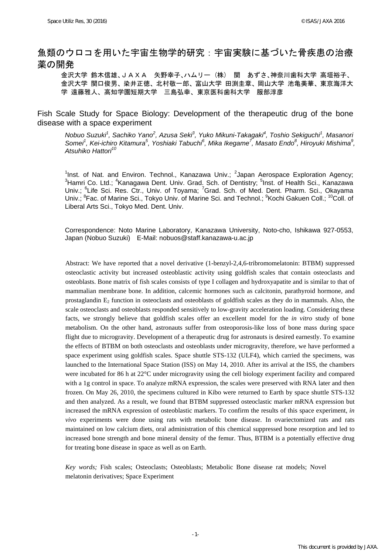# 魚類のウロコを用いた宇宙生物学的研究:宇宙実験に基づいた骨疾患の治療 薬の開発

金沢大学 鈴木信雄、JAXA 矢野幸子、ハムリー (株) 関 あずさ、神奈川歯科大学 高垣裕子、 金沢大学 関口俊男、染井正徳、北村敬一郎、富山大学 田渕圭章、岡山大学 池亀美華、東京海洋大 学 遠藤雅人、高知学園短期大学 三島弘幸、東京医科歯科大学 服部淳彦

Fish Scale Study for Space Biology: Development of the therapeutic drug of the bone disease with a space experiment

*Nobuo Suzuki<sup>1</sup>, Sachiko Yano<sup>2</sup>, Azusa Seki<sup>3</sup>, Yuko Mikuni-Takagaki<sup>4</sup>, Toshio Sekiguchi<sup>1</sup>, Masanori* Somei<sup>1</sup>, Kei-ichiro Kitamura<sup>5</sup>, Yoshiaki Tabuchi<sup>6</sup>, Mika Ikegame<sup>7</sup>, Masato Endo<sup>8</sup>, Hiroyuki Mishima<sup>9</sup>, *Atsuhiko Hattori<sup>10</sup>*

<sup>1</sup>Inst. of Nat. and Environ. Technol., Kanazawa Univ.; <sup>2</sup>Japan Aerospace Exploration Agency; <sup>3</sup> Hamri Co. Ltd.; <sup>4</sup> Kanagawa Dent. Univ. Grad. Sch. of Dentistry; <sup>5</sup> Inst. of Health Sci., Kanazawa Univ.; <sup>6</sup>Life Sci. Res. Ctr., Univ. of Toyama; <sup>7</sup>Grad. Sch. of Med. Dent. Pharm. Sci., Okayama Univ.; <sup>8</sup>Fac. of Marine Sci., Tokyo Univ. of Marine Sci. and Technol.; <sup>9</sup>Kochi Gakuen Coll.; <sup>10</sup>Coll. of Liberal Arts Sci., Tokyo Med. Dent. Univ.

Correspondence: Noto Marine Laboratory, Kanazawa University, Noto-cho, Ishikawa 927-0553, Japan (Nobuo Suzuki) E-Mail: nobuos@staff.kanazawa-u.ac.jp

Abstract: We have reported that a novel derivative (1-benzyl-2,4,6-tribromomelatonin: BTBM) suppressed osteoclastic activity but increased osteoblastic activity using goldfish scales that contain osteoclasts and osteoblasts. Bone matrix of fish scales consists of type I collagen and hydroxyapatite and is similar to that of mammalian membrane bone. In addition, calcemic hormones such as calcitonin, parathyroid hormone, and prostaglandin  $E_2$  function in osteoclasts and osteoblasts of goldfish scales as they do in mammals. Also, the scale osteoclasts and osteoblasts responded sensitively to low-gravity acceleration loading. Considering these facts, we strongly believe that goldfish scales offer an excellent model for the *in vitro* study of bone metabolism. On the other hand, astronauts suffer from osteoporosis-like loss of bone mass during space flight due to microgravity. Development of a therapeutic drug for astronauts is desired earnestly. To examine the effects of BTBM on both osteoclasts and osteoblasts under microgravity, therefore, we have performed a space experiment using goldfish scales. Space shuttle STS-132 (ULF4), which carried the specimens, was launched to the International Space Station (ISS) on May 14, 2010. After its arrival at the ISS, the chambers were incubated for 86 h at 22°C under microgravity using the cell biology experiment facility and compared with a 1g control in space. To analyze mRNA expression, the scales were preserved with RNA later and then frozen. On May 26, 2010, the specimens cultured in Kibo were returned to Earth by space shuttle STS-132 and then analyzed. As a result, we found that BTBM suppressed osteoclastic marker mRNA expression but increased the mRNA expression of osteoblastic markers. To confirm the results of this space experiment, *in vivo* experiments were done using rats with metabolic bone disease. In ovariectomized rats and rats maintained on low calcium diets, oral administration of this chemical suppressed bone resorption and led to increased bone strength and bone mineral density of the femur. Thus, BTBM is a potentially effective drug for treating bone disease in space as well as on Earth.

*Key words;* Fish scales; Osteoclasts; Osteoblasts; Metabolic Bone disease rat models; Novel melatonin derivatives; Space Experiment

-1-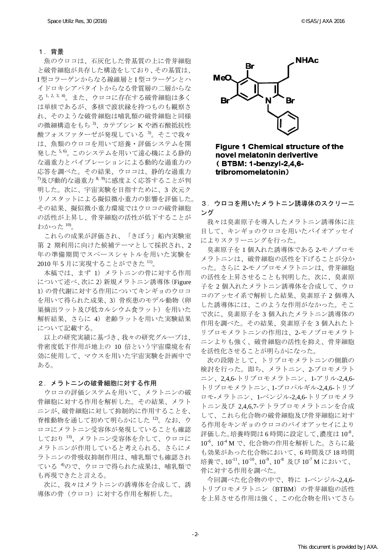#### 1.背景

魚のウロコは、石灰化した骨基質の上に骨芽細胞 と破骨細胞が共存した構造をしており、その基質は、 I 型コラーゲンからなる線維層と I 型コラーゲンとハ イドロキシアパタイトからなる骨質層の二層からな る 1, 2, 3, 4)。また、ウロコに存在する破骨細胞は多く は単核であるが、多核で波状縁を持つものも観察さ れ、そのような破骨細胞は哺乳類の破骨細胞と同様  $\mathcal{O}$ 微細構造をもち $^{3}$ 、カテプシン K や酒石酸抵抗性 酸フォスファターゼが発現している<sup>3</sup>。そこで我々 は、魚類のウロコを用いて培養・評価システムを開 発した5,6)。このシステムを用いて遠心機による静的 な過重力とバイブレーションによる動的な過重力の 応答を調べた。その結果、ウロコは、静的な過重力  $7$ 及び動的な過重力  $8, 9$ に感度よく応答することが判 明した。次に、宇宙実験を目指すために、3 次元ク リノスタットによる擬似微小重力の影響を評価した。 その結果、擬似微小重力環境ではウロコの破骨細胞 の活性が上昇し、骨芽細胞の活性が低下することが わかった 10)。

これらの成果が評価され、「きぼう」船内実験室 第 2 期利用に向けた候補テーマとして採択され、2 年の準備期間でスペースシャトルを用いた実験を 2010 年 5 月に実現することができた 11)。

本稿では、まず 1)メラトニンの骨に対する作用 について述べ、次に 2)新規メラトニン誘導体(Figure 1)の骨代謝に対する作用についてキンギョのウロコ を用いて得られた成果、3)骨疾患のモデル動物(卵 巣摘出ラット及び低カルシウム食ラット)を用いた 解析結果、さらに 4) 老齢ラットを用いた実験結果 について記載する。

以上の研究実績に基づき、我々の研究グループは、 骨密度低下作用が地上の 10 倍という宇宙環境を有 効に使用して、マウスを用いた宇宙実験を計画中で ある。

### 2.メラトニンの破骨細胞に対する作用

ウロコの評価システムを用いて、メラトニンの破 骨細胞に対する作用を解析した。その結果、メラト ニンが、破骨細胞に対して抑制的に作用することを、 脊椎動物を通して初めて明らかにした 12)。なお、ウ ロコにメラトニン受容体が発現していることも確認 しており 13)、メラトニン受容体を介して、ウロコに メラトニンが作用していると考えられる。さらにメ ラトニンの骨吸収抑制作用は、哺乳類でも確認され ている<sup>4)</sup>ので、ウロコで得られた成果は、哺乳類で も再現できたと言える。

次に、我々はメラトニンの誘導体を合成して、誘 導体の骨(ウロコ)に対する作用を解析した。



**Figure 1 Chemical structure of the** novel melatonin derivertive (BTBM: 1-benzyl-2,4,6tribromomelatonin)

## 3.ウロコを用いたメラトニン誘導体のスクリーニ ング

我々は臭素原子を導入したメラトニン誘導体に注 目して、キンギョのウロコを用いたバイオアッセイ によりスクリーニングを行った。

臭素原子を 1 個入れた誘導体である 2-モノブロモ メラトニンは、破骨細胞の活性を下げることが分か った。さらに 2-モノブロモメラトニンは、骨芽細胞 の活性を上昇させることも判明した。次に、臭素原 子を 2 個入れたメラトニン誘導体を合成して、ウロ コのアッセイ系で解析した結果、臭素原子 2 個導入 した誘導体には、このような作用がなかった。そこ で次に、臭素原子を 3 個入れたメラトニン誘導体の 作用を調べた。その結果、臭素原子を 3 個入れたト リブロモメラトニンの作用は、2-モノブロモメラト ニンよりも強く、破骨細胞の活性を抑え、骨芽細胞 を活性化させることが明らかになった。

次の段階として、トリブロモメラトニンの側鎖の 検討を行った。即ち、メラトニン、2-ブロモメラト ニン、2,4,6-トリブロモメラトニン、1-アリル-2,4,6- トリブロモメラトニン、1-プロパルギル-2,4,6-トリブ ロモ-メラトニン、1-ベンジル-2,4,6-トリブロモメラ トニン及び 2,4,6,7-テトラブロモメラトニンを合成 して、これら化合物の破骨細胞及び骨芽細胞に対す る作用をキンギョのウロコのバイオアッセイにより 評価した。培養時間は6時間に設定して、濃度は10%、 10-6、10-4 M で、化合物の作用を解析した。さらに最 も効果があった化合物において、6 時間及び 18 時間 培養で、10<sup>-11</sup>、10<sup>-10</sup>、10<sup>-9</sup>、10<sup>-8</sup> 及び 10<sup>-7</sup> M において、 骨に対する作用を調べた。

今回調べた化合物の中で、特に 1-ベンジル-2,4,6- トリブロモメラトニン (BTBM)の骨芽細胞の活性 を上昇させる作用は強く、この化合物を用いてさら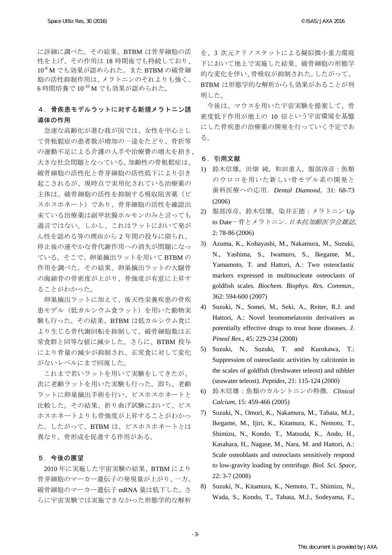に詳細に調べた。その結果、BTBM は骨芽細胞の活 性を上げ、その作用は 18 時間後でも持続しており、 10-8 M でも効果が認められた。また BTBM の破骨細 胞の活性抑制作用は、メラトニンのそれよりも強く、 6 時間培養で 10-10 M でも効果が認められた。

## 4.骨疾患モデルラットに対する新規メラトニン誘 導体の作用

急速な高齢化が進む我が国では、女性を中心とし て骨粗鬆症の患者数が増加の一途をたどり、骨折等 の運動不足による介護の人手や治療費の増大を招き、 大きな社会問題となっている。加齢性の骨粗鬆症は、 破骨細胞の活性化と骨芽細胞の活性低下により引き 起こされるが、現時点で実用化されている治療薬の 主体は、破骨細胞の活性を抑制する吸収阻害薬(ビ スホスホネート)であり、骨芽細胞の活性を確認出 来ている治療薬は副甲状腺ホルモンのみと言っても 過言ではない。しかし、これはラットにおいて発が ん性を認める等の理由から 2 年間の投与に限られ、 停止後の速やかな骨代謝作用への消失が問題になっ ている。そこで、卵巣摘出ラットを用いて BTBM の 作用を調べた。その結果、卵巣摘出ラットの大腿骨 の海綿骨の骨密度が上がり、骨強度が有意に上昇す ることがわかった。

卵巣摘出ラットに加えて、後天性栄養疾患の骨疾 患モデル(低カルシウム食ラット)を用いた動物実 験も行った。その結果、BTBM は低カルシウム食に より生じる骨代謝回転を抑制して、破骨細胞数は正 常食群と同等な値に減少した。さらに、BTBM 投与 により骨量の減少が抑制され、正常食に対して変化 がないレベルにまで回復した。

これまで若いラットを用いて実験をしてきたが、 次に老齢ラットを用いた実験も行った。即ち、老齢 ラットに卵巣摘出手術を行い、ビスホスホネートと 比較した。その結果、折り曲げ試験において、ビス ホスホネートよりも骨強度が上昇することがわかっ た。したがって、BTBM は、ビスホスホネートとは 異なり、骨形成を促進する作用がある。

## 5.今後の展望

2010 年に実施した宇宙実験の結果、BTBM により 骨芽細胞のマーカー遺伝子の発現量が上がり、一方、 破骨細胞のマーカー遺伝子 mRNA 量は低下した。さ らに宇宙実験では実施できなかった形態学的な解析

を、3 次元クリノスタットによる擬似微小重力環境 下において地上で実施した結果、破骨細胞の形態学 的な変化を伴い、骨吸収が抑制された。したがって、 BTBM は形態学的な解析からも効果があることが判 明した。

今後は、マウスを用いた宇宙実験を提案して、骨 密度低下作用が地上の 10 倍という宇宙環境を基盤 にした骨疾患の治療薬の開発を行っていく予定であ る。

## 6.引用文献

- 1) 鈴木信雄,田畑 純,和田重人,服部淳彦:魚類 のウロコを用いた新しい骨モデル系の開発と 歯科医療への応用.*Dental Diamond*,31: 68-73 (2006)
- 2) 服部淳彦,鈴木信雄,染井正徳:メラトニン Up to Date-骨とメラトニン. 日本抗加齢医学会雑誌, 2: 78-86 (2006)
- 3) Azuma, K., Kobayashi, M., Nakamura, M., Suzuki, N., Yashima, S., Iwamuro, S., Ikegame, M., Yamamoto, T. and Hattori, A.: Two osteoclastic markers expressed in multinucleate osteoclasts of goldfish scales. *Biochem. Biophys. Res. Commun.*, 362: 594-600 (2007)
- 4) Suzuki, N., Somei, M., Seki, A., Reiter, R.J. and Hattori, A.: Novel bromomelatonin derivatives as potentially effective drugs to treat bone diseases. *J. Pineal Res.*, 45: 229-234 (2008)
- 5) Suzuki, N., Suzuki, T. and Kurokawa, T.: Suppression of osteoclastic activities by calcitonin in the scales of goldfish (freshwater teleost) and nibbler (seawater teleost). *Peptides*, 21: 115-124 (2000)
- 6) 鈴木信雄:魚類のカルシトニンの特徴.*Clinical Calcium,* 15: 459-466 (2005)
- 7) Suzuki, N., Omori, K., Nakamura, M., Tabata, M.J., Ikegame, M., Ijiri, K., Kitamura, K., Nemoto, T., Shimizu, N., Kondo, T., Matsuda, K., Ando, H., Kasahara, H., Nagase, M., Nara, M. and Hattori, A.: Scale osteoblasts and osteoclasts sensitively respond to low-gravity loading by centrifuge. *Biol. Sci. Space,* 22: 3-7 (2008)
- 8) Suzuki, N., Kitamura, K., Nemoto, T., Shimizu, N., Wada, S., Kondo, T., Tabata, M.J., Sodeyama, F.,